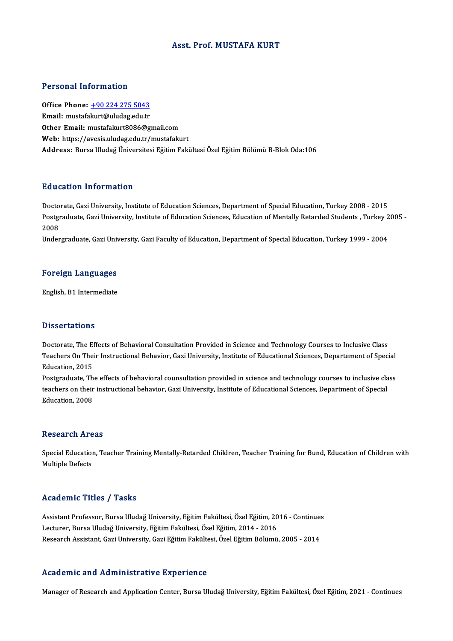### Asst. Prof.MUSTAFA KURT

### Personal Information

Personal Information<br>Office Phone: <u>+90 224 275 5043</u><br>Email: mustafalaut@uludag.edu.tr Personal Information<br>Office Phone: <u>+90 224 275 5043</u><br>Email: mustafa[kurt@uludag.edu.tr](tel:+90 224 275 5043) Email: mustafakurt@uludag.edu.tr<br>Other Email: mustafakurt8086@gmail.com Web: https://avesis.uludag.edu.tr/mustafakurt Address: BursaUludağÜniversitesiEğitimFakültesiÖzelEğitimBölümüB-BlokOda:106

### Education Information

Education Information<br>Doctorate, Gazi University, Institute of Education Sciences, Department of Special Education, Turkey 2008 - 2015<br>Postareduate Cari University, Institute of Education Sciences, Education of Mentally Pe Pu d'ederen Triver inderen<br>Doctorate, Gazi University, Institute of Education Sciences, Department of Special Education, Turkey 2008 - 2015<br>Postgraduate, Gazi University, Institute of Education Sciences, Education of Menta Docto<br>Postgi<br>2008<br>Under Postgraduate, Gazi University, Institute of Education Sciences, Education of Mentally Retarded Students , Turkey 2005 -<br>2008<br>Undergraduate, Gazi University, Gazi Faculty of Education, Department of Special Education, Turke

## <sub>Undergraduate, Gazi Univ<br>Foreign Languages</sub> F<mark>oreign Languages</mark><br>English, B1 Intermediate

English, B1 Intermediate<br>Dissertations

**Dissertations**<br>Doctorate, The Effects of Behavioral Consultation Provided in Science and Technology Courses to Inclusive Class<br>Teachers On Their Instructional Behavior, Cari University, Institute of Educational Sciences, Disbort carrons<br>Doctorate, The Effects of Behavioral Consultation Provided in Science and Technology Courses to Inclusive Class<br>Teachers On Their Instructional Behavior, Gazi University, Institute of Educational Sciences, Doctorate, The Ei<br>Teachers On The<br>Education, 2015<br>Postareduate, Th Teachers On Their Instructional Behavior, Gazi University, Institute of Educational Sciences, Departement of Special<br>Education, 2015<br>Postgraduate, The effects of behavioral counsultation provided in science and technology

Education, 2015<br>Postgraduate, The effects of behavioral counsultation provided in science and technology courses to inclusive cla<br>teachers on their instructional behavior, Gazi University, Institute of Educational Sciences Postgraduate, Th<br>teachers on their<br>Education, 2008 Education, 2008<br>Research Areas

Research Areas<br>Special Education, Teacher Training Mentally-Retarded Children, Teacher Training for Bund, Education of Children with<br>Multiple Defects Nesear en 111 e<br>Special Education<br>Multiple Defects Multiple Defects<br>Academic Titles / Tasks

Assistant Professor, Bursa Uludağ University, Eğitim Fakültesi, Özel Eğitim, 2016 - Continues Lecturer, Bursa Uludağ University, Eğitim Fakültesi, Özel Eğitim, 2014 - 2016 Research Assistant, Gazi University, Gazi Eğitim Fakültesi, Özel Eğitim Bölümü, 2005 - 2014

### Academic and Administrative Experience

Manager of Research and Application Center, Bursa Uludağ University, Eğitim Fakültesi, Özel Eğitim, 2021 - Continues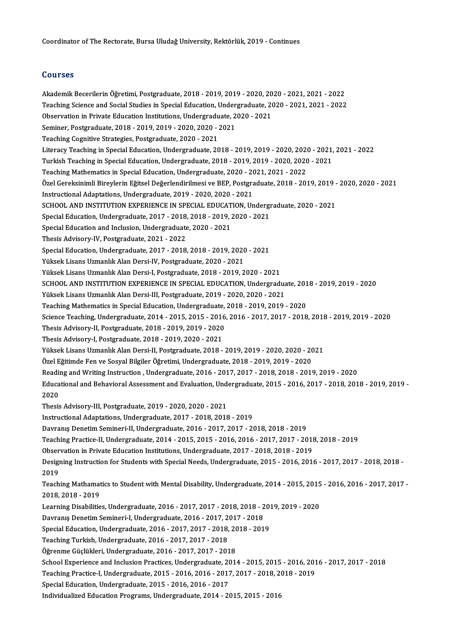### Courses

Courses<br>Akademik Becerilerin Öğretimi, Postgraduate, 2018 - 2019, 2019 - 2020, 2020 - 2021, 2021 - 2022<br>Teashing Science and Social Studies in Special Education, Undergraduate, 2020, 2021, 2021, 2022 SSArssss<br>Akademik Becerilerin Öğretimi, Postgraduate, 2018 - 2019, 2019 - 2020, 2020 - 2021, 2021 - 2022<br>Teaching Science and Social Studies in Special Education, Undergraduate, 2020 - 2021, 2021 - 2022<br>Observation in Priv Akademik Becerilerin Öğretimi, Postgraduate, 2018 - 2019, 2019 - 2020, 20<br>Teaching Science and Social Studies in Special Education, Undergraduate, 20<br>Observation in Private Education Institutions, Undergraduate, 2020 - 202 Teaching Science and Social Studies in Special Education, Under<br>Observation in Private Education Institutions, Undergraduate, 2<br>Seminer, Postgraduate, 2018 - 2019, 2019 - 2020, 2020 - 2021<br>Teaching Comitive Strategies, Bos Observation in Private Education Institutions, Undergraduate, 2020 - 2021<br>Seminer, Postgraduate, 2018 - 2019, 2019 - 2020, 2020 - 2021<br>Teaching Cognitive Strategies, Postgraduate, 2020 - 2021 LiteracyTeaching inSpecialEducation,Undergraduate,2018 -2019,2019 -2020,2020 -2021,2021 -2022 Teaching Cognitive Strategies, Postgraduate, 2020 - 2021<br>Literacy Teaching in Special Education, Undergraduate, 2018 - 2019, 2019 - 2020, 2020 - 2021,<br>Turkish Teaching in Special Education, Undergraduate, 2018 - 2019, 2019 Literacy Teaching in Special Education, Undergraduate, 2018 - 2019, 2019 - 2020, 2020<br>Turkish Teaching in Special Education, Undergraduate, 2018 - 2019, 2019 - 2020, 2020<br>Teaching Mathematics in Special Education, Undergra Turkish Teaching in Special Education, Undergraduate, 2018 - 2019, 2019 - 2020, 2020 - 2021<br>Teaching Mathematics in Special Education, Undergraduate, 2020 - 2021, 2021 - 2022<br>Özel Gereksinimli Bireylerin Eğitsel Değerlendi Teaching Mathematics in Special Education, Undergraduate, 2020 - 2021, 2021 - 2022<br>Özel Gereksinimli Bireylerin Eğitsel Değerlendirilmesi ve BEP, Postgraduate, 2018 - 2019, 2019<br>Instructional Adaptations, Undergraduate, 20 Özel Gereksinimli Bireylerin Eğitsel Değerlendirilmesi ve BEP, Postgraduate, 2018 - 2019, 2019 -<br>Instructional Adaptations, Undergraduate, 2019 - 2020, 2020 - 2021<br>SCHOOL AND INSTITUTION EXPERIENCE IN SPECIAL EDUCATION, Un SpecialEducation,Undergraduate,2017 -2018,2018 -2019,2020 -2021 SCHOOL AND INSTITUTION EXPERIENCE IN SPECIAL EDUCAT<br>Special Education, Undergraduate, 2017 - 2018, 2018 - 2019, ;<br>Special Education and Inclusion, Undergraduate, 2020 - 2021<br>Thesia Advisory IV, Bestareduate, 2021, 2022 Special Education, Undergraduate, 2017 - 2018<br>Special Education and Inclusion, Undergraduate<br>Thesis Advisory-IV, Postgraduate, 2021 - 2022<br>Special Education, Undergraduate, 2017 - 2018 Special Education and Inclusion, Undergraduate, 2020 - 2021<br>Thesis Advisory-IV, Postgraduate, 2021 - 2022<br>Special Education, Undergraduate, 2017 - 2018, 2018 - 2019, 2020 - 2021<br>Vüksek Lisans Uzmanlık Alan Dersi IV, Bestgr Thesis Advisory-IV, Postgraduate, 2021 - 2022<br>Special Education, Undergraduate, 2017 - 2018, 2018 - 2019, 2020<br>Yüksek Lisans Uzmanlık Alan Dersi-IV, Postgraduate, 2020 - 2021<br>Yüksek Lisans Uzmanlık Alan Dersi I. Postgradua Yüksek Lisans Uzmanlık Alan Dersi-IV, Postgraduate, 2020 - 2021<br>Yüksek Lisans Uzmanlık Alan Dersi-I, Postgraduate, 2018 - 2019, 2020 - 2021 SCHOOLANDINSTITUTIONEXPERIENCEINSPECIAL EDUCATION,Undergraduate,2018 -2019,2019 -2020 Yüksek Lisans Uzmanlık Alan Dersi-III, Postgraduate, 2019 - 2020, 2020 - 2021 Teaching Mathematics in Special Education, Undergraduate, 2018 - 2019, 2019 - 2020 Yüksek Lisans Uzmanlık Alan Dersi-III, Postgraduate, 2019 - 2020, 2020 - 2021<br>Teaching Mathematics in Special Education, Undergraduate, 2018 - 2019, 2019 - 2020<br>Science Teaching, Undergraduate, 2014 - 2015, 2015 - 2016, 20 Teaching Mathematics in Special Education, Undergraduate,<br>Science Teaching, Undergraduate, 2014 - 2015, 2015 - 2016<br>Thesis Advisory-II, Postgraduate, 2018 - 2019, 2019 - 2020<br>Thesis Advisory I, Postgraduate, 2019, 2019, 20 Science Teaching, Undergraduate, 2014 - 2015, 2015 - 2016<br>Thesis Advisory-II, Postgraduate, 2018 - 2019, 2019 - 2020<br>Thesis Advisory-I, Postgraduate, 2018 - 2019, 2020 - 2021<br>Vikaak Lisans Usmankk Alan Darsi II, Bostgradua Thesis Advisory-II, Postgraduate, 2018 - 2019, 2019 - 2020<br>Thesis Advisory-I, Postgraduate, 2018 - 2019, 2020 - 2021<br>Yüksek Lisans Uzmanlık Alan Dersi-II, Postgraduate, 2018 - 2019, 2019 - 2020, 2020 - 2021 Özel Eğitimde Fen ve Sosyal Bilgiler Öğretimi, Undergraduate, 2018 - 2019, 2019 - 2020 Yüksek Lisans Uzmanlık Alan Dersi-II, Postgraduate, 2018 - 2019, 2019 - 2020, 2020 - 2021<br>Özel Eğitimde Fen ve Sosyal Bilgiler Öğretimi, Undergraduate, 2018 - 2019, 2019 - 2020<br>Reading and Writing Instruction , Undergradua Özel Eğitimde Fen ve Sosyal Bilgiler Öğretimi, Undergraduate, 2018 - 2019, 2019 - 2020<br>Reading and Writing Instruction , Undergraduate, 2016 - 2017, 2017 - 2018, 2018 - 2019, 2019 - 2020<br>Educational and Behavioral Assessme Readii<br>Educa<br>2020<br>Thesis Educational and Behavioral Assessment and Evaluation, Und<br>2020<br>Thesis Advisory-III, Postgraduate, 2019 - 2020, 2020 - 2021<br>Instructional Adoptations Undergraduate, 2017, 2018, 2019 2020<br>Thesis Advisory-III, Postgraduate, 2019 - 2020, 2020 - 2021<br>Instructional Adaptations, Undergraduate, 2017 - 2018, 2018 - 2019 Thesis Advisory-III, Postgraduate, 2019 - 2020, 2020 - 2021<br>Instructional Adaptations, Undergraduate, 2017 - 2018, 2018 - 2019<br>Davranış Denetim Semineri-II, Undergraduate, 2016 - 2017, 2017 - 2018, 2018 - 2019<br>Teaching Pra Teaching Practice-II, Undergraduate, 2014 - 2015, 2015 - 2016, 2016 - 2017, 2017 - 2018, 2018 - 2019<br>Observation in Private Education Institutions, Undergraduate, 2017 - 2018, 2018 - 2019 Davranış Denetim Semineri-II, Undergraduate, 2016 - 2017, 2017 - 2018, 2018 - 2019<br>Teaching Practice-II, Undergraduate, 2014 - 2015, 2015 - 2016, 2016 - 2017, 2017 - 2018<br>Observation in Private Education Institutions, Unde Teaching Practice-II, Undergraduate, 2014 - 2015, 2015 - 2016, 2016 - 2017, 2017 - 2018, 2018 - 2019<br>Observation in Private Education Institutions, Undergraduate, 2017 - 2018, 2018 - 2019<br>Designing Instruction for Students Obser<br>Design<br>2019<br>Teach Designing Instruction for Students with Special Needs, Undergraduate, 2015 - 2016, 2016 - 2017, 2017 - 2018, 2018 -<br>2019<br>Teaching Mathamatics to Student with Mental Disability, Undergraduate, 2014 - 2015, 2015 - 2016, 2016 2019<br>Teaching Mathamat<br>2018, 2018 - 2019<br>Learning Dischilitie Teaching Mathamatics to Student with Mental Disability, Undergraduate, 2014 - 2015, 2015<br>2018, 2018 - 2019<br>Learning Disabilities, Undergraduate, 2016 - 2017, 2017 - 2018, 2018 - 2019, 2019 - 2020<br>Dayranya Denatim Saminari 2018, 2018 - 2019<br>Learning Disabilities, Undergraduate, 2016 - 2017, 2017 - 2018, 2018 - 2<br>Davranış Denetim Semineri-I, Undergraduate, 2016 - 2017, 2017 - 2018<br>Special Education, Undergraduate, 2016 - 2017, 2017, 2019, 201 Learning Disabilities, Undergraduate, 2016 - 2017, 2017 - 2018, 2018 - 2013<br>Davranış Denetim Semineri-I, Undergraduate, 2016 - 2017, 2017 - 2018<br>Special Education, Undergraduate, 2016 - 2017, 2017 - 2018, 2018 - 2019<br>Teach Davranış Denetim Semineri-I, Undergraduate, 2016 - 2017, 2<br>Special Education, Undergraduate, 2016 - 2017, 2017 - 2018,<br>Teaching Turkish, Undergraduate, 2016 - 2017, 2017 - 2018<br>Öğrenme Güelülderi, Undergraduate, 2016 - 201 Special Education, Undergraduate, 2016 - 2017, 2017 - 2018, 20<br>Teaching Turkish, Undergraduate, 2016 - 2017, 2017 - 2018<br>Öğrenme Güçlükleri, Undergraduate, 2016 - 2017, 2017 - 2018<br>Sebool Eunerianes and Inclusion Practises Teaching Turkish, Undergraduate, 2016 - 2017, 2017 - 2018<br>Öğrenme Güçlükleri, Undergraduate, 2016 - 2017, 2017 - 2018<br>School Experience and Inclusion Practices, Undergraduate, 2014 - 2015, 2015 - 2016, 2016 - 2017, 2017 - Öğrenme Güçlükleri, Undergraduate, 2016 - 2017, 2017 - 2018<br>School Experience and Inclusion Practices, Undergraduate, 2014 - 2015, 2015 - 2016, 201<br>Teaching Practice-I, Undergraduate, 2015 - 2016, 2016 - 2017, 2017 - 2018, School Experience and Inclusion Practices, Undergraduate, 2015<br>Teaching Practice-I, Undergraduate, 2015 - 2016, 2016 - 2017<br>Special Education, Undergraduate, 2015 - 2016, 2016 - 2017<br>Individualized Education Programs, Unde Teaching Practice-I, Undergraduate, 2015 - 2016, 2016 - 2017, 2017 - 2018, 2<br>Special Education, Undergraduate, 2015 - 2016, 2016 - 2017<br>Individualized Education Programs, Undergraduate, 2014 - 2015, 2015 - 2016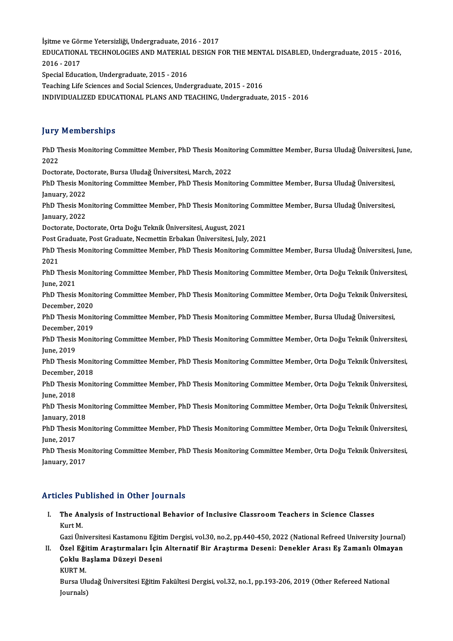İşitme ve Görme Yetersizliği, Undergraduate, 2016 - 2017

İşitme ve Görme Yetersizliği, Undergraduate, 2016 - 2017<br>EDUCATIONAL TECHNOLOGIES AND MATERIAL DESIGN FOR THE MENTAL DISABLED, Undergraduate, 2015 - 2016,<br>2016 - 2017 İşitme ve Gör<br>EDUCATIONA<br>2016 - 2017<br>Special Educa EDUCATIONAL TECHNOLOGIES AND MATERIAL<br>2016 - 2017<br>Special Education, Undergraduate, 2015 - 2016<br>Teaching Life Sciences and Social Sciences, Unde

2016 - 2017<br>Special Education, Undergraduate, 2015 - 2016<br>Teaching Life Sciences and Social Sciences, Undergraduate, 2015 - 2016

INDIVIDUALIZEDEDUCATIONAL PLANSANDTEACHING,Undergraduate,2015 -2016

### **Jury Memberships**

**Jury Memberships**<br>PhD Thesis Monitoring Committee Member, PhD Thesis Monitoring Committee Member, Bursa Uludağ Üniversitesi, June,<br>2022 yary<br>PhD T<br>2022 PhD Thesis Monitoring Committee Member, PhD Thesis Monitorial<br>2022<br>Doctorate, Doctorate, Bursa Uludağ Üniversitesi, March, 2022<br>PhD Thesis Monitoring Committee Member, PhD Thesis Monito 2022<br>Doctorate, Doctorate, Bursa Uludağ Üniversitesi, March, 2022<br>PhD Thesis Monitoring Committee Member, PhD Thesis Monitoring Committee Member, Bursa Uludağ Üniversitesi,<br>Januam: 2022 Doctorate, Doc<br>PhD Thesis Mo<br>January, 2022<br>PhD Thesis Mo PhD Thesis Monitoring Committee Member, PhD Thesis Monitoring Committee Member, Bursa Uludağ Üniversitesi,<br>January, 2022<br>PhD Thesis Monitoring Committee Member, PhD Thesis Monitoring Committee Member, Bursa Uludağ Üniversi January, 2022<br>PhD Thesis Monitoring Committee Member, PhD Thesis Monitoring Committee Member, Bursa Uludağ Üniversitesi,<br>January, 2022 PhD Thesis Monitoring Committee Member, PhD Thesis Monitoring<br>January, 2022<br>Doctorate, Doctorate, Orta Doğu Teknik Üniversitesi, August, 2021<br>Pest Craduate, Best Craduate, Nesmettin Erbelian Üniversitesi, July January, 2022<br>Doctorate, Doctorate, Orta Doğu Teknik Üniversitesi, August, 2021<br>Post Graduate, Post Graduate, Necmettin Erbakan Üniversitesi, July, 2021<br>PhD Thesis Monitering Committee Member, PhD Thesis Monitering Comm Doctorate, Doctorate, Orta Doğu Teknik Üniversitesi, August, 2021<br>Post Graduate, Post Graduate, Necmettin Erbakan Üniversitesi, July, 2021<br>PhD Thesis Monitoring Committee Member, PhD Thesis Monitoring Committee Member, Bur Post G<br>PhD T<br>2021<br>PhD T PhD Thesis Monitoring Committee Member, PhD Thesis Monitoring Committee Member, Bursa Uludağ Üniversitesi, Jun<br>2021<br>PhD Thesis Monitoring Committee Member, PhD Thesis Monitoring Committee Member, Orta Doğu Teknik Üniversit 2021<br>PhD Thesis Monitoring Committee Member, PhD Thesis Monitoring Committee Member, Orta Doğu Teknik Üniversitesi,<br>June, 2021 PhD Thesis Monitoring Committee Member, PhD Thesis Monitoring Committee Member, Orta Doğu Teknik Üniversitesi,<br>June, 2021<br>PhD Thesis Monitoring Committee Member, PhD Thesis Monitoring Committee Member, Orta Doğu Teknik Üni June, 2021<br>PhD Thesis Monit<br>December, 2020<br>PhD Thesis Monit PhD Thesis Monitoring Committee Member, PhD Thesis Monitoring Committee Member, Orta Doğu Teknik Üniversi<br>December, 2020<br>PhD Thesis Monitoring Committee Member, PhD Thesis Monitoring Committee Member, Bursa Uludağ Üniversi December, 2020<br>PhD Thesis Monit<br>December, 2019<br>PhD Thesis Monit PhD Thesis Monitoring Committee Member, PhD Thesis Monitoring Committee Member, Bursa Uludağ Üniversitesi,<br>December, 2019<br>PhD Thesis Monitoring Committee Member, PhD Thesis Monitoring Committee Member, Orta Doğu Teknik Üni December, 2019<br>PhD Thesis Monitoring Committee Member, PhD Thesis Monitoring Committee Member, Orta Doğu Teknik Üniversitesi,<br>June, 2019 PhD Thesis Monitoring Committee Member, PhD Thesis Monitoring Committee Member, Orta Doğu Teknik Üniversitesi,<br>June, 2019<br>PhD Thesis Monitoring Committee Member, PhD Thesis Monitoring Committee Member, Orta Doğu Teknik Üni June, 2019<br>PhD Thesis Monit<br>December, 2018<br>PhD Thesis Monit PhD Thesis Monitoring Committee Member, PhD Thesis Monitoring Committee Member, Orta Doğu Teknik Üniversitesi,<br>December, 2018<br>PhD Thesis Monitoring Committee Member, PhD Thesis Monitoring Committee Member, Orta Doğu Teknik December, 2018<br>PhD Thesis Monitoring Committee Member, PhD Thesis Monitoring Committee Member, Orta Doğu Teknik Üniversitesi,<br>June, 2018 PhD Thesis Monitoring Committee Member, PhD Thesis Monitoring Committee Member, Orta Doğu Teknik Üniversitesi,<br>June, 2018<br>PhD Thesis Monitoring Committee Member, PhD Thesis Monitoring Committee Member, Orta Doğu Teknik Üni June, 2018<br>PhD Thesis Mo<br>January, 2018<br>PhD Thesis Mo PhD Thesis Monitoring Committee Member, PhD Thesis Monitoring Committee Member, Orta Doğu Teknik Üniversitesi,<br>January, 2018<br>PhD Thesis Monitoring Committee Member, PhD Thesis Monitoring Committee Member, Orta Doğu Teknik January, 20<br>PhD Thesis<br>June, 2017<br>PhD Thesis PhD Thesis Monitoring Committee Member, PhD Thesis Monitoring Committee Member, Orta Doğu Teknik Üniversitesi,<br>June, 2017<br>PhD Thesis Monitoring Committee Member, PhD Thesis Monitoring Committee Member, Orta Doğu Teknik Üni June, 2017<br>PhD Thesis Monitoring Committee Member, PhD Thesis Monitoring Committee Member, Orta Doğu Teknik Üniversitesi,<br>January, 2017

### Articles Published in Other Journals

rticles Published in Other Journals<br>I. The Analysis of Instructional Behavior of Inclusive Classroom Teachers in Science Classes<br>Kurt M The An<br>The An<br>Kurt M. The Analysis of Instructional Behavior of Inclusive Classroom Teachers in Science Classes<br>Kurt M.<br>Gazi Üniversitesi Kastamonu Eğitim Dergisi, vol.30, no.2, pp.440-450, 2022 (National Refreed University Journal)<br>Örel Eğitim

Kurt M.<br>Gazi Üniversitesi Kastamonu Eğitim Dergisi, vol.30, no.2, pp.440-450, 2022 (National Refreed University Journal)<br>II. Özel Eğitim Araştırmaları İçin Alternatif Bir Araştırma Deseni: Denekler Arası Eş Zamanlı Olm Gazi Üniversitesi Kastamonu Eğiti<br>Özel Eğitim Araştırmaları İçin<br>Çoklu Başlama Düzeyi Deseni<br>KUPT M II. Özel Eğitim Araştırmaları İçin Alternatif Bir Araştırma Deseni: Denekler Arası Eş Zamanlı Olmayan<br>Çoklu Başlama Düzeyi Deseni<br>KURTM.

Bursa Uludağ Üniversitesi Eğitim Fakültesi Dergisi, vol.32, no.1, pp.193-206, 2019 (Other Refereed National Journals)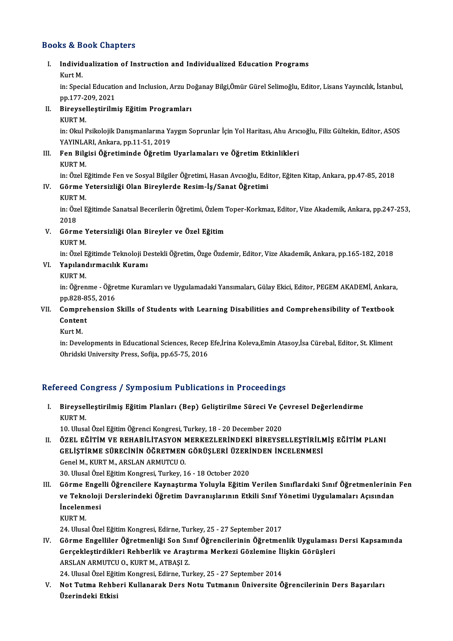### Books&Book Chapters

## ooks & Book Chapters<br>I. Individualization of Instruction and Individualized Education Programs<br>Kurt M Individ<br>Individ<br>Kurt M.

Individualization of Instruction and Individualized Education Programs<br>Kurt M.<br>in: Special Education and Inclusion, Arzu Doğanay Bilgi,Ömür Gürel Selimoğlu, Editor, Lisans Yayıncılık, İstanbul,<br>nn 177 200 2021 Kurt M.<br>in: Special Educatio<br>pp.177-209, 2021<br>Binoveallostinilm in: Special Education and Inclusion, Arzu Do<br>pp.177-209, 2021<br>II. Bireyselleştirilmiş Eğitim Programları<br>EUPT M

# pp.177-2<br><mark>Bireyse</mark>l<br>KURT M.<br>in: QluJ I

Bireyselleştirilmiş Eğitim Programları<br>KURT M.<br>in: Okul Psikolojik Danışmanlarına Yaygın Soprunlar İçin Yol Haritası, Ahu Arıcıoğlu, Filiz Gültekin, Editor, ASOS<br>YAYINI ARL Arliare nn 11 E1 2019. KURT M.<br>in: Okul Psikolojik Danışmanlarına Ya<br>YAYINLARI, Ankara, pp.11-51, 2019<br>Fen Bilsisi Öğretiminde Öğretim in: Okul Psikolojik Danışmanlarına Yaygın Soprunlar İçin Yol Haritası, Ahu Arıc<br>11. YAYINLARI, Ankara, pp.11-51, 2019<br>III. Fen Bilgisi Öğretiminde Öğretim Uyarlamaları ve Öğretim Etkinlikleri

## YAYINLA<br>Fen Bilg<br>KURT M.<br>in: Özel E Fen Bilgisi Öğretiminde Öğretim Uyarlamaları ve Öğretim Etkinlikleri<br>KURT M.<br>in: Özel Eğitimde Fen ve Sosyal Bilgiler Öğretimi, Hasan Avcıoğlu, Editor, Eğiten Kitap, Ankara, pp.47-85, 2018<br>Cörme Yetersizliği Olan Birovlard

## KURT M.<br>in: Özel Eğitimde Fen ve Sosyal Bilgiler Öğretimi, Hasan Avcıoğlu, Edi<br>IV. Görme Yetersizliği Olan Bireylerde Resim-İş/Sanat Öğretimi<br>KURT M. in: Özel E<br>Görme Y<br>KURT M.<br>in: Özel E

Görme Yetersizliği Olan Bireylerde Resim-İş/Sanat Öğretimi<br>KURT M.<br>in: Özel Eğitimde Sanatsal Becerilerin Öğretimi, Özlem Toper-Korkmaz, Editor, Vize Akademik, Ankara, pp.247-253, KURT<br>in: Öze<br>2018 in: Özel Eğitimde Sanatsal Becerilerin Öğretimi, Özlem 1<br>2018<br>V. Görme Yetersizliği Olan Bireyler ve Özel Eğitim<br>KUPT M

2018<br>Görme Y<br>KURT M.<br>in: Özel E

Görme Yetersizliği Olan Bireyler ve Özel Eğitim<br>KURT M.<br>in: Özel Eğitimde Teknoloji Destekli Öğretim, Özge Özdemir, Editor, Vize Akademik, Ankara, pp.165-182, 2018<br>Yanılandırmasılık Kuramı

- KURT M.<br>in: Özel Eğitimde Teknoloji De<br>VI. Yapılandırmacılık Kuramı<br>KURT M. in: Özel E<br><mark>Yapılan</mark><br>KURT M.<br>in: Öğren
	-

Yapılandırmacılık Kuramı<br>KURT M.<br>in: Öğrenme - Öğretme Kuramları ve Uygulamadaki Yansımaları, Gülay Ekici, Editor, PEGEM AKADEMİ, Ankara,<br>nn 929 955-2016 KURT M.<br>in: Öğrenme - Öğre<br>pp.828-855, 2016<br>Comnuebension in: Öğrenme - Öğretme Kuramları ve Uygulamadaki Yansımaları, Gülay Ekici, Editor, PEGEM AKADEMİ, Ankara<br>pp.828-855, 2016<br>VII. Comprehension Skills of Students with Learning Disabilities and Comprehensibility of Textbook<br>Co

## pp.828-8<br>Comprel<br>Content<br><sup>Kunt M</sup> Compre<br>Conten<br>Kurt M.<br>in: Deve

Kurt M.<br>in: Developments in Educational Sciences, Recep Efe,İrina Koleva,Emin Atasoy,İsa Cürebal, Editor, St. Kliment Ohridski University Press, Sofija, pp.65-75, 2016

### Refereed Congress / Symposium Publications in Proceedings

efereed Congress / Symposium Publications in Proceedings<br>I. Bireyselleştirilmiş Eğitim Planları (Bep) Geliştirilme Süreci Ve Çevresel Değerlendirme<br>KUPTM need ex<br>Bireysel<br>KURT M. Bireyselleştirilmiş Eğitim Planları (Bep) Geliştirilme Süreci Ve Ç<br>KURT M.<br>10. Ulusal Özel Eğitim Öğrenci Kongresi, Turkey, 18 - 20 December 2020<br>ÖZEL EĞİTİM VE PEHAPİLİTASYON MERKEZI ERİNDEKİ PİREYSE

KURT M.<br>10. Ulusal Özel Eğitim Öğrenci Kongresi, Turkey, 18 - 20 December 2020<br>II. ÖZEL EĞİTİM VE REHABİLİTASYON MERKEZLERİNDEKİ BİREYSELLEŞTİRİLMİŞ EĞİTİM PLANI 10. Ulusal Özel Eğitim Öğrenci Kongresi, Turkey, 18 - 20 December 2020<br>ÖZEL EĞİTİM VE REHABİLİTASYON MERKEZLERİNDEKİ BİREYSELLEŞTİRİLI<br>GELİŞTİRME SÜRECİNİN ÖĞRETMEN GÖRÜŞLERİ ÜZERİNDEN İNCELENMESİ<br>CenelM, KURTM, ARSLAN ARM ÖZEL EĞİTİM VE REHABİLİTASYON N<br>GELİŞTİRME SÜRECİNİN ÖĞRETMEN<br>Genel M., KURT M., ARSLAN ARMUTCU O.<br>20 Hlugal Özel Eğitim Kongresi Turkov 1 GELİŞTİRME SÜRECİNİN ÖĞRETMEN GÖRÜŞLERİ ÜZERİ<br>Genel M., KURT M., ARSLAN ARMUTCU O.<br>30. Ulusal Özel Eğitim Kongresi, Turkey, 16 - 18 October 2020<br>Görme Engelli Öğrengilere Kounesturme Yoluyla Eğitim

- Genel M., KURT M., ARSLAN ARMUTCU O.<br>30. Ulusal Özel Eğitim Kongresi, Turkey, 16 18 October 2020<br>III. Görme Engelli Öğrencilere Kaynaştırma Yoluyla Eğitim Verilen Sınıflardaki Sınıf Öğretmenlerinin Fen 30. Ulusal Özel Eğitim Kongresi, Turkey, 16 - 18 October 2020<br>Görme Engelli Öğrencilere Kaynaştırma Yoluyla Eğitim Verilen Sınıflardaki Sınıf Öğretmenlerinin<br>ve Teknoloji Derslerindeki Öğretim Davranışlarının Etkili Sınıf Görme Enge<br>ve Teknoloji<br>İncelenmesi<br><sup>VIDT M</sup> <mark>ve Tekn</mark><br>İnceleni<br>KURT M.<br>24 Hurs **İncelenmesi**<br>KURT M.<br>24. Ulusal Özel Eğitim Kongresi, Edirne, Turkey, 25 - 27 September 2017
	-

IV. Görme Engel iler Öğretmenliği Son Sınıf Öğrencilerinin Öğretmenlik Uygulaması Dersi Kapsamında 24. Ulusal Özel Eğitim Kongresi, Edirne, Turkey, 25 - 27 September 2017<br>Görme Engelliler Öğretmenliği Son Sınıf Öğrencilerinin Öğretmenlik Uygulaması<br>Gerçekleştirdikleri Rehberlik ve Araştırma Merkezi Gözlemine İlişkin Gör Görme Engelliler Öğretmenliği Son Sıı<br>Gerçekleştirdikleri Rehberlik ve Araşı<br>ARSLAN ARMUTCU O., KURT M., ATBAŞI Z.<br>24 Hlucel Örel Fğitim Kongresi Edirne Tu Gerçekleştirdikleri Rehberlik ve Araştırma Merkezi Gözlemine İl<br>ARSLAN ARMUTCU O., KURT M., ATBAŞI Z.<br>24. Ulusal Özel Eğitim Kongresi, Edirne, Turkey, 25 - 27 September 2014<br>Net Tutma Bohbori Kullanarak Dors Notu Tutmanın

24. Ulusal Özel Eğitim Kongresi, Edirne, Turkey, 25 - 27 September 2014

ARSLAN ARMUTCU O., KURT M., ATBAŞI Z.<br>24. Ulusal Özel Eğitim Kongresi, Edirne, Turkey, 25 - 27 September 2014<br>V. Not Tutma Rehberi Kullanarak Ders Notu Tutmanın Üniversite Öğrencilerinin Ders Başarıları<br>Üzerindeki Etki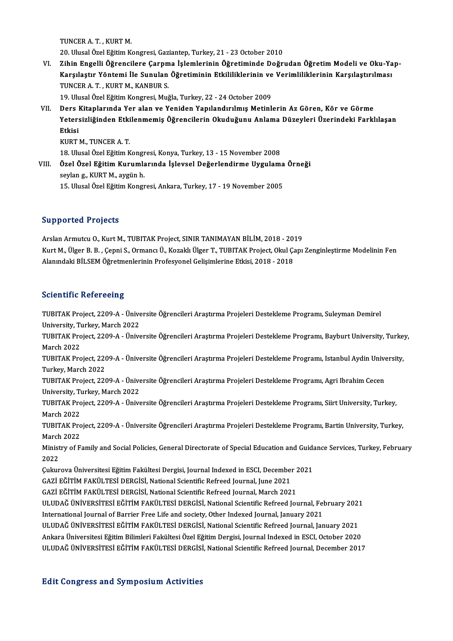TUNCER A.T., KURT M.

20.UlusalÖzelEğitimKongresi,Gaziantep,Turkey,21 -23October 2010

TUNCER A. T. , KURT M.<br>20. Ulusal Özel Eğitim Kongresi, Gaziantep, Turkey, 21 - 23 October 2010<br>VI. – Zihin Engelli Öğrencilere Çarpma İşlemlerinin Öğretiminde Doğrudan Öğretim Modeli ve Oku-Yap-<br>Karalastır Yöntemi İle Sun 20. Ulusal Özel Eğitim Kongresi, Gaziantep, Turkey, 21 - 23 October 2010<br>Zihin Engelli Öğrencilere Çarpma İşlemlerinin Öğretiminde Doğrudan Öğretim Modeli ve Oku-Ya<br>Karşılaştır Yöntemi İle Sunulan Öğretiminin Etkililikleri Zihin Engelli Öğrencilere Çarpm<br>Karşılaştır Yöntemi İle Sunulan<br>TUNCER A.T., KURT M., KANBUR S.<br>19 Ulucal Özel Fğitim Kongresi Muğ Karşılaştır Yöntemi İle Sunulan Öğretiminin Etkililiklerinin ve Verimliliklerinin Karşılaştırılması<br>TUNCER A. T. , KURT M., KANBUR S.<br>19. Ulusal Özel Eğitim Kongresi, Muğla, Turkey, 22 - 24 October 2009

TUNCER A. T. , KURT M., KANBUR S.<br>19. Ulusal Özel Eğitim Kongresi, Muğla, Turkey, 22 - 24 October 2009<br>VII. Ders Kitaplarında Yer alan ve Yeniden Yapılandırılmış Metinlerin Az Gören, Kör ve Görme<br>Vetersizliğinden Etkilenme 19. Ulusal Özel Eğitim Kongresi, Muğla, Turkey, 22 - 24 October 2009<br>Ders Kitaplarında Yer alan ve Yeniden Yapılandırılmış Metinlerin Az Gören, Kör ve Görme<br>Yetersizliğinden Etkilenmemiş Öğrencilerin Okuduğunu Anlama Düzey Ders I<br>Yeters<br>Etkisi Yetersizliğinden Etki<br>Etkisi<br>KURT M., TUNCER A. T.<br>19. Ulucal Özel Eğitim K Etkisi<br>KURT M., TUNCER A. T.<br>18. Ulusal Özel Eğitim Kongresi, Konya, Turkey, 13 - 15 November 2008<br>Özel Özel Eğitim Kurumlarında İslayesi Değerlendirme Uygulam

KURT M., TUNCER A. T.<br>18. Ulusal Özel Eğitim Kongresi, Konya, Turkey, 13 - 15 November 2008<br>VIII. Özel Özel Eğitim Kurumlarında İşlevsel Değerlendirme Uygulama Örneği<br>seylan g., KURT M., aygün h. 18. Ulusal Özel Eğitim Kongr<br>Özel Özel Eğitim Kurumla<br>seylan g., KURT M., aygün h.<br>15. Ulusal Özel Eğitim Kongr 15.UlusalÖzelEğitimKongresi,Ankara,Turkey,17 -19November 2005

### Supported Projects

ArslanArmutcuO.,KurtM.,TUBITAKProject,SINIRTANIMAYANBİLİM,2018 -2019 Bupported Frojeces<br>Arslan Armutcu O., Kurt M., TUBITAK Project, SINIR TANIMAYAN BİLİM, 2018 - 2019<br>Kurt M., Ülger B. B. , Çepni S., Ormancı Ü., Kozaklı Ülger T., TUBITAK Project, Okul Çapı Zenginleştirme Modelinin Fen Arslan Armutcu O., Kurt M., TUBITAK Project, SINIR TANIMAYAN BİLİM, 2018 - 201<br>Kurt M., Ülger B. B. , Çepni S., Ormancı Ü., Kozaklı Ülger T., TUBITAK Project, Okul Ç.<br>Alanındaki BİLSEM Öğretmenlerinin Profesyonel Gelişimle Alanındaki BİLSEM Öğretmenlerinin Profesyonel Gelişimlerine Etkisi, 2018 - 2018<br>Scientific Refereeing

Scie**ntific Refereeing**<br>TUBITAK Project, 2209-A - Üniversite Öğrencileri Araştırma Projeleri Destekleme Programı, Suleyman Demirel<br>University Turkey, Marsh 2022 UULIVERSITY<br>TUBITAK Project, 2209-A - Ünive<br>University, Turkey, March 2022<br>TUBITAK Project, 2200-A - Ünive TUBITAK Project, 2209-A - Üniversite Öğrencileri Araştırma Projeleri Destekleme Programı, Suleyman Demirel<br>University, Turkey, March 2022<br>TUBITAK Project, 2209-A - Üniversite Öğrencileri Araştırma Projeleri Destekleme Prog University, Ti<br>TUBITAK Pro<br>March 2022<br>TUBITAK Pro TUBITAK Project, 2209-A - Üniversite Öğrencileri Araştırma Projeleri Destekleme Programı, Bayburt University, Turke<br>March 2022<br>TUBITAK Project, 2209-A - Üniversite Öğrencileri Araştırma Projeleri Destekleme Programı, Istan March 2022<br>TUBITAK Project, 220<br>Turkey, March 2022<br>TUBITA*V* Project 220 TUBITAK Project, 2209-A - Üniversite Öğrencileri Araştırma Projeleri Destekleme Programı, Istanbul Aydin Unive<br>Turkey, March 2022<br>TUBITAK Project, 2209-A - Üniversite Öğrencileri Araştırma Projeleri Destekleme Programı, Ag Turkey, March 2022<br>TUBITAK Project, 2209-A - Üniversite Öğrencileri Araştırma Projeleri Destekleme Programı, Agri Ibrahim Cecen<br>University, Turkey, March 2022 TUBITAK Project, 2209-A - Üniversite Öğrencileri Araştırma Projeleri Destekleme Programı, Agri Ibrahim Cecen<br>University, Turkey, March 2022<br>TUBITAK Project, 2209-A - Üniversite Öğrencileri Araştırma Projeleri Destekleme Pr University, T<br>TUBITAK Pro<br>March 2022<br>TUBITAK Pro TUBITAK Project, 2209-A - Üniversite Öğrencileri Araştırma Projeleri Destekleme Programı, Siirt University, Turkey,<br>March 2022<br>TUBITAK Project, 2209-A - Üniversite Öğrencileri Araştırma Projeleri Destekleme Programı, Barti March 2022<br>TUBITAK Pro<br>March 2022<br>Ministry of E TUBITAK Project, 2209-A - Üniversite Öğrencileri Araştırma Projeleri Destekleme Programı, Bartin University, Turkey,<br>March 2022<br>Ministry of Family and Social Policies, General Directorate of Special Education and Guidance March 2022<br>Ministry of Family and Social Policies, General Directorate of Special Education and Guidance Services, Turkey, February<br>2022 Ministry of Family and Social Policies, General Directorate of Special Education and Guida<br>2022<br>Çukurova Üniversitesi Eğitim Fakültesi Dergisi, Journal Indexed in ESCI, December 2021<br>CAZİ EĞİTİM EAKÜLTESİ DERGİSİ, National 2022<br>Çukurova Üniversitesi Eğitim Fakültesi Dergisi, Journal Indexed in ESCI, December<br>GAZİ EĞİTİM FAKÜLTESİ DERGİSİ, National Scientific Refreed Journal, June 2021<br>GAZİ EĞİTİM FAKÜLTESİ DERGİSİ, National Scientific Refree Çukurova Üniversitesi Eğitim Fakültesi Dergisi, Journal Indexed in ESCI, December 2<br>GAZİ EĞİTİM FAKÜLTESİ DERGİSİ, National Scientific Refreed Journal, June 2021<br>GAZİ EĞİTİM FAKÜLTESİ DERGİSİ, National Scientific Refreed J GAZİ EĞİTİM FAKÜLTESİ DERGİSİ, National Scientific Refreed Journal, June 2021<br>GAZİ EĞİTİM FAKÜLTESİ DERGİSİ, National Scientific Refreed Journal, March 2021<br>ULUDAĞ ÜNİVERSİTESİ EĞİTİM FAKÜLTESİ DERGİSİ, National Scientific GAZİ EĞİTİM FAKÜLTESİ DERGİSİ, National Scientific Refreed Journal, March 2021<br>ULUDAĞ ÜNİVERSİTESİ EĞİTİM FAKÜLTESİ DERGİSİ, National Scientific Refreed Journal, Fel<br>International Journal of Barrier Free Life and society, ULUDAĞ ÜNİVERSİTESİ EĞİTİM FAKÜLTESİ DERGİSİ, National Scientific Refreed Journal, February 2021<br>International Journal of Barrier Free Life and society, Other Indexed Journal, January 2021<br>ULUDAĞ ÜNİVERSİTESİ EĞİTİM FAKÜLT International Journal of Barrier Free Life and society, Other Indexed Journal, January 2021<br>ULUDAĞ ÜNIVERSİTESİ EĞİTİM FAKÜLTESİ DERGİSİ, National Scientific Refreed Journal, January 2021<br>Ankara Üniversitesi Eğitim Bilimle ULUDAĞÜNİVERSİTESİEĞİTİMFAKÜLTESİDERGİSİ,NationalScientificRefreed Journal,December 2017

### Edit Congress and SymposiumActivities